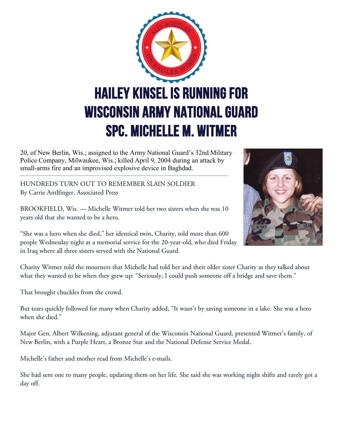

20, of New Berlin, Wis.; assigned to the Army National Guard's 32nd Military Police Company, Milwaukee, Wis.; killed April 9, 2004 during an attack by small-arms fire and an improvised explosive device in Baghdad.

HUNDREDS TURN OUT TO REMEMBER SLAIN SOLDIER By Carrie Antlfinger, Associated Press

BROOKFIELD, Wis. — Michelle Witmer told her two sisters when she was 10 years old that she wanted to be a hero.



"She was a hero when she died," her identical twin, Charity, told more than 600 people Wednesday night at a memorial service for the 20-year-old, who died Friday in Iraq where all three sisters served with the National Guard.

Charity Witmer told the mourners that Michelle had told her and their older sister Charity as they talked about what they wanted to be when they grew up: "Seriously, I could push someone off a bridge and save them."

That brought chuckles from the crowd.

But tears quickly followed for many when Charity added, "It wasn't by saving someone in a lake. She was a hero when she died."

Major Gen. Albert Wilkening, adjutant general of the Wisconsin National Guard, presented Witmer's family, of New Berlin, with a Purple Heart, a Bronze Star and the National Defense Service Medal.

Michelle's father and mother read from Michelle's e-mails.

She had sent one to many people, updating them on her life. She said she was working night shifts and rarely got a day off.